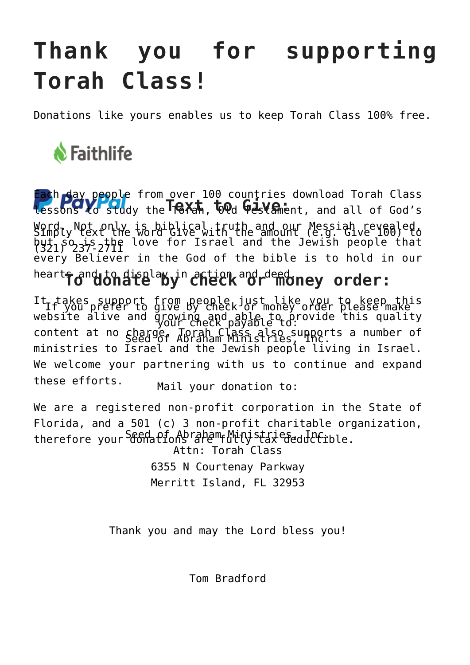## **Thank you for supporting Torah Class!**

Donations like yours enables us to keep Torah Class 100% free.



Each day people from over 100 countries download Torah Class **Tessons to study the Trext, tood Gestament, and all of God's** Word. Not only is biblical truth and our Messiah revealed, but so is the love for Israel and the Jewish people that every Believer in the God of the bible is to hold in our heart<del>f</del> and to display in action and deed. order:  $S$ imply text the word  $G$ ive with the amount  $(e,g, G_1 \vee e_1 \vee e_2)$ (321) 237-2711

It takes support from people just like you to keep this website alive and growing and able to provide this quality content at no charge. Torah Class also supports a number of ministries to Israel and the Jewish people living in Israel. We welcome your partnering with us to continue and expand these efforts. If you prefer to give by check or money order please make your check payable to: Seed of Abraham Ministries, Inc.

Mail your donation to:

We are a registered non-profit corporation in the State of Florida, and a 501 (c) 3 non-profit charitable organization, therefore your <sup>S</sup>&GNations ape<sup>m</sup>f Minjstax eseddatiole.

Attn: Torah Class 6355 N Courtenay Parkway Merritt Island, FL 32953

Thank you and may the Lord bless you!

Tom Bradford